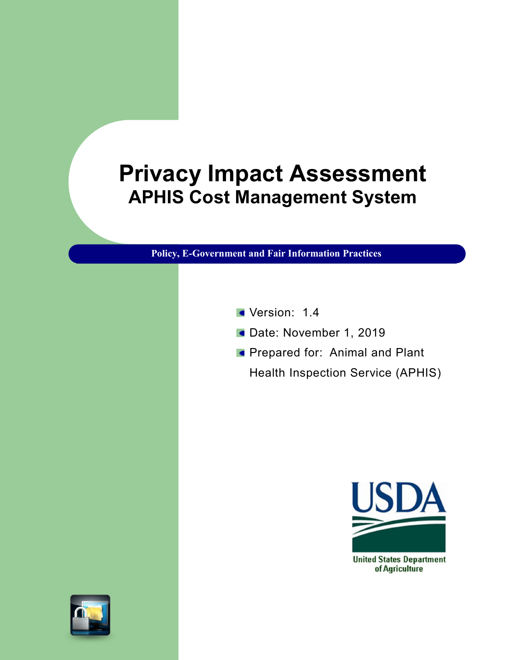# Privacy Impact Assessment APHIS Cost Management System

Policy, E-Government and Fair Information Practices

- Version: 1.4
- Date: November 1, 2019
- **Prepared for: Animal and Plant** Health Inspection Service (APHIS)



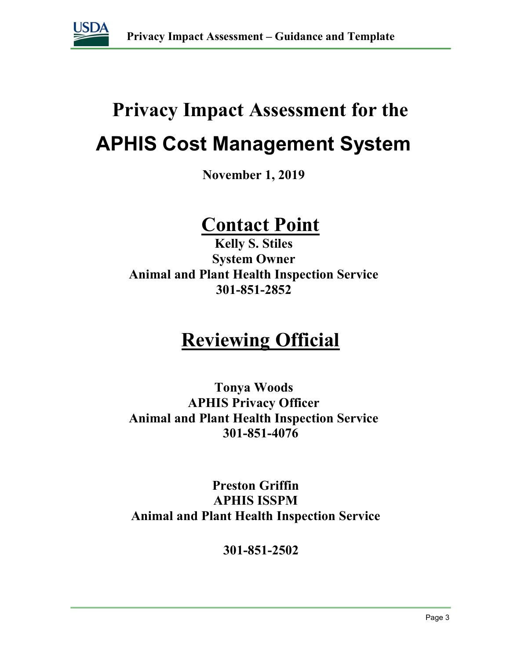

# Privacy Impact Assessment for the APHIS Cost Management System

November 1, 2019

## Contact Point

Kelly S. Stiles System Owner Animal and Plant Health Inspection Service 301-851-2852

# Reviewing Official

Tonya Woods APHIS Privacy Officer Animal and Plant Health Inspection Service 301-851-4076

Preston Griffin **APHIS ISSPM A**nimal and Plant Health Inspection Service

301-851-2502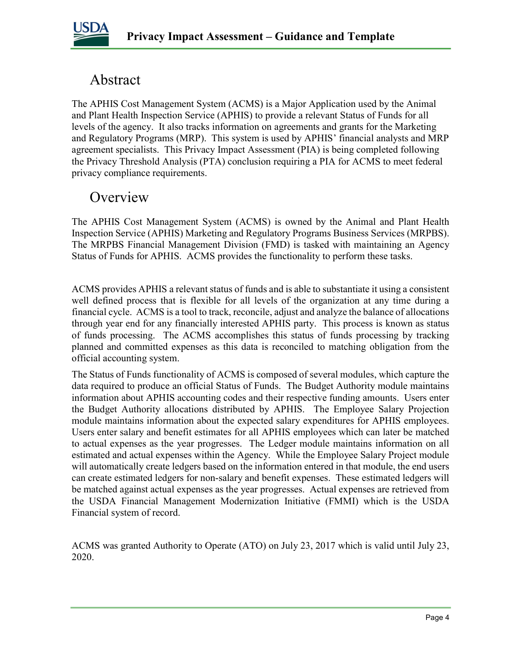

### Abstract

The APHIS Cost Management System (ACMS) is a Major Application used by the Animal and Plant Health Inspection Service (APHIS) to provide a relevant Status of Funds for all levels of the agency. It also tracks information on agreements and grants for the Marketing and Regulatory Programs (MRP). This system is used by APHIS' financial analysts and MRP agreement specialists. This Privacy Impact Assessment (PIA) is being completed following the Privacy Threshold Analysis (PTA) conclusion requiring a PIA for ACMS to meet federal privacy compliance requirements.

### **Overview**

The APHIS Cost Management System (ACMS) is owned by the Animal and Plant Health Inspection Service (APHIS) Marketing and Regulatory Programs Business Services (MRPBS). The MRPBS Financial Management Division (FMD) is tasked with maintaining an Agency Status of Funds for APHIS. ACMS provides the functionality to perform these tasks.

ACMS provides APHIS a relevant status of funds and is able to substantiate it using a consistent well defined process that is flexible for all levels of the organization at any time during a financial cycle. ACMS is a tool to track, reconcile, adjust and analyze the balance of allocations through year end for any financially interested APHIS party. This process is known as status of funds processing. The ACMS accomplishes this status of funds processing by tracking planned and committed expenses as this data is reconciled to matching obligation from the official accounting system.

The Status of Funds functionality of ACMS is composed of several modules, which capture the data required to produce an official Status of Funds. The Budget Authority module maintains information about APHIS accounting codes and their respective funding amounts. Users enter the Budget Authority allocations distributed by APHIS. The Employee Salary Projection module maintains information about the expected salary expenditures for APHIS employees. Users enter salary and benefit estimates for all APHIS employees which can later be matched to actual expenses as the year progresses. The Ledger module maintains information on all estimated and actual expenses within the Agency. While the Employee Salary Project module will automatically create ledgers based on the information entered in that module, the end users can create estimated ledgers for non-salary and benefit expenses. These estimated ledgers will be matched against actual expenses as the year progresses. Actual expenses are retrieved from the USDA Financial Management Modernization Initiative (FMMI) which is the USDA Financial system of record.

ACMS was granted Authority to Operate (ATO) on July 23, 2017 which is valid until July 23, 2020.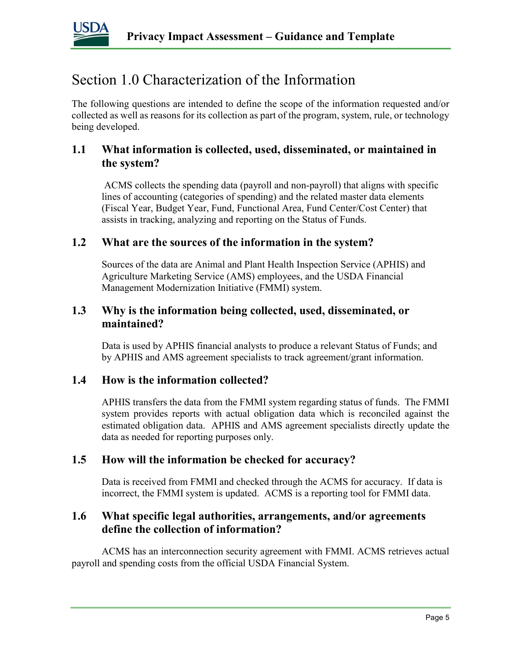

### Section 1.0 Characterization of the Information

The following questions are intended to define the scope of the information requested and/or collected as well as reasons for its collection as part of the program, system, rule, or technology being developed.

### 1.1 What information is collected, used, disseminated, or maintained in the system?

 ACMS collects the spending data (payroll and non-payroll) that aligns with specific lines of accounting (categories of spending) and the related master data elements (Fiscal Year, Budget Year, Fund, Functional Area, Fund Center/Cost Center) that assists in tracking, analyzing and reporting on the Status of Funds.

#### 1.2 What are the sources of the information in the system?

Sources of the data are Animal and Plant Health Inspection Service (APHIS) and Agriculture Marketing Service (AMS) employees, and the USDA Financial Management Modernization Initiative (FMMI) system.

#### 1.3 Why is the information being collected, used, disseminated, or maintained?

Data is used by APHIS financial analysts to produce a relevant Status of Funds; and by APHIS and AMS agreement specialists to track agreement/grant information.

#### 1.4 How is the information collected?

APHIS transfers the data from the FMMI system regarding status of funds. The FMMI system provides reports with actual obligation data which is reconciled against the estimated obligation data. APHIS and AMS agreement specialists directly update the data as needed for reporting purposes only.

#### 1.5 How will the information be checked for accuracy?

Data is received from FMMI and checked through the ACMS for accuracy. If data is incorrect, the FMMI system is updated. ACMS is a reporting tool for FMMI data.

#### 1.6 What specific legal authorities, arrangements, and/or agreements define the collection of information?

ACMS has an interconnection security agreement with FMMI. ACMS retrieves actual payroll and spending costs from the official USDA Financial System.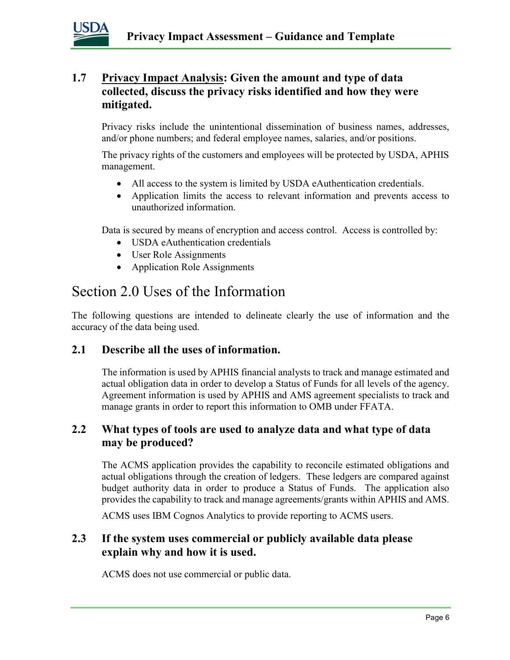

### 1.7 Privacy Impact Analysis: Given the amount and type of data collected, discuss the privacy risks identified and how they were mitigated.

Privacy risks include the unintentional dissemination of business names, addresses, and/or phone numbers; and federal employee names, salaries, and/or positions.

The privacy rights of the customers and employees will be protected by USDA, APHIS management.

- All access to the system is limited by USDA eAuthentication credentials.
- Application limits the access to relevant information and prevents access to unauthorized information.

Data is secured by means of encryption and access control. Access is controlled by:

- USDA eAuthentication credentials
- User Role Assignments
- Application Role Assignments

### Section 2.0 Uses of the Information

The following questions are intended to delineate clearly the use of information and the accuracy of the data being used.

### 2.1 Describe all the uses of information.

The information is used by APHIS financial analysts to track and manage estimated and actual obligation data in order to develop a Status of Funds for all levels of the agency. Agreement information is used by APHIS and AMS agreement specialists to track and manage grants in order to report this information to OMB under FFATA.

### 2.2 What types of tools are used to analyze data and what type of data may be produced?

The ACMS application provides the capability to reconcile estimated obligations and actual obligations through the creation of ledgers. These ledgers are compared against budget authority data in order to produce a Status of Funds. The application also provides the capability to track and manage agreements/grants within APHIS and AMS.

ACMS uses IBM Cognos Analytics to provide reporting to ACMS users.

### 2.3 If the system uses commercial or publicly available data please explain why and how it is used.

ACMS does not use commercial or public data.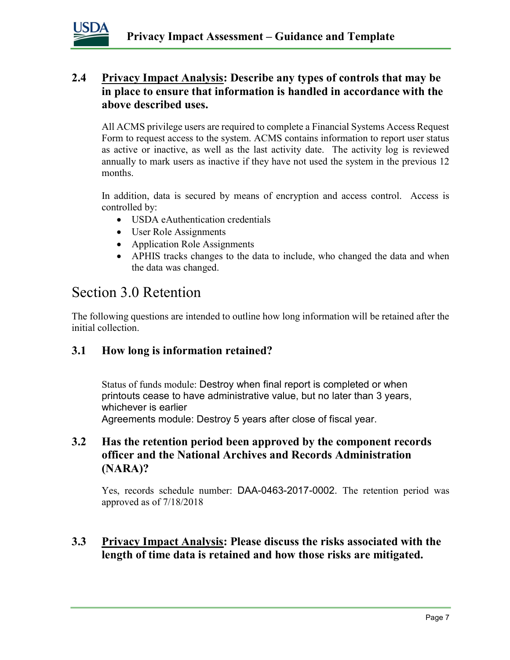

### 2.4 Privacy Impact Analysis: Describe any types of controls that may be in place to ensure that information is handled in accordance with the above described uses.

All ACMS privilege users are required to complete a Financial Systems Access Request Form to request access to the system. ACMS contains information to report user status as active or inactive, as well as the last activity date. The activity log is reviewed annually to mark users as inactive if they have not used the system in the previous 12 months.

In addition, data is secured by means of encryption and access control. Access is controlled by:

- USDA eAuthentication credentials
- User Role Assignments
- Application Role Assignments
- APHIS tracks changes to the data to include, who changed the data and when the data was changed.

### Section 3.0 Retention

The following questions are intended to outline how long information will be retained after the initial collection.

### 3.1 How long is information retained?

Status of funds module: Destroy when final report is completed or when printouts cease to have administrative value, but no later than 3 years, whichever is earlier Agreements module: Destroy 5 years after close of fiscal year.

### 3.2 Has the retention period been approved by the component records officer and the National Archives and Records Administration (NARA)?

Yes, records schedule number: DAA-0463-2017-0002. The retention period was approved as of 7/18/2018

### 3.3 Privacy Impact Analysis: Please discuss the risks associated with the length of time data is retained and how those risks are mitigated.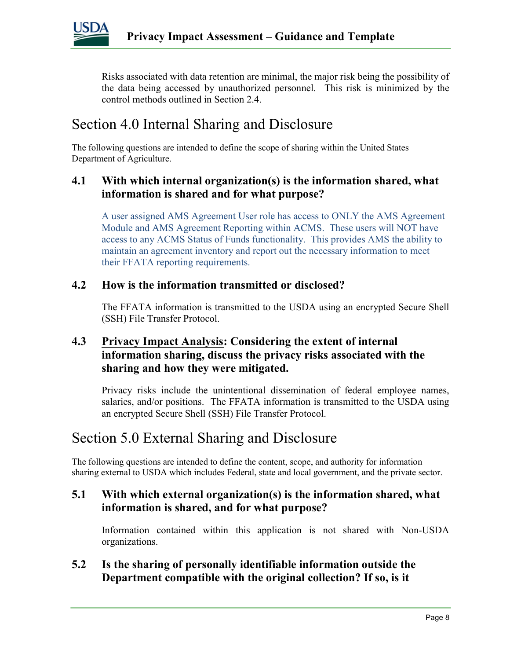

Risks associated with data retention are minimal, the major risk being the possibility of the data being accessed by unauthorized personnel. This risk is minimized by the control methods outlined in Section 2.4.

### Section 4.0 Internal Sharing and Disclosure

The following questions are intended to define the scope of sharing within the United States Department of Agriculture.

### 4.1 With which internal organization(s) is the information shared, what information is shared and for what purpose?

A user assigned AMS Agreement User role has access to ONLY the AMS Agreement Module and AMS Agreement Reporting within ACMS. These users will NOT have access to any ACMS Status of Funds functionality. This provides AMS the ability to maintain an agreement inventory and report out the necessary information to meet their FFATA reporting requirements.

#### 4.2 How is the information transmitted or disclosed?

The FFATA information is transmitted to the USDA using an encrypted Secure Shell (SSH) File Transfer Protocol.

### 4.3 Privacy Impact Analysis: Considering the extent of internal information sharing, discuss the privacy risks associated with the sharing and how they were mitigated.

Privacy risks include the unintentional dissemination of federal employee names, salaries, and/or positions. The FFATA information is transmitted to the USDA using an encrypted Secure Shell (SSH) File Transfer Protocol.

### Section 5.0 External Sharing and Disclosure

The following questions are intended to define the content, scope, and authority for information sharing external to USDA which includes Federal, state and local government, and the private sector.

### 5.1 With which external organization(s) is the information shared, what information is shared, and for what purpose?

Information contained within this application is not shared with Non-USDA organizations.

### 5.2 Is the sharing of personally identifiable information outside the Department compatible with the original collection? If so, is it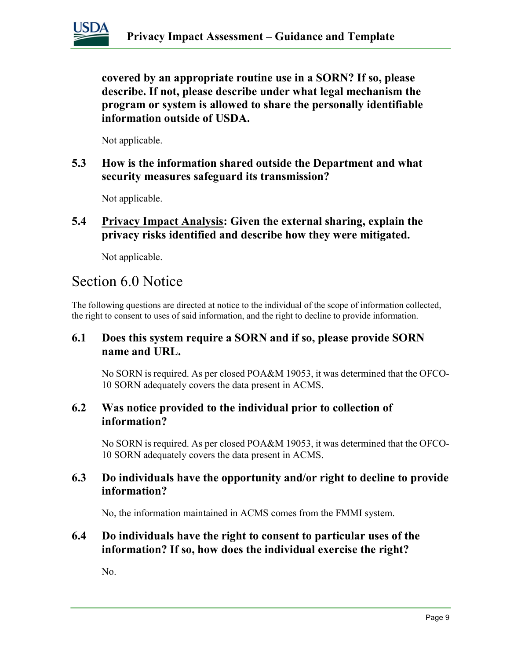

covered by an appropriate routine use in a SORN? If so, please describe. If not, please describe under what legal mechanism the program or system is allowed to share the personally identifiable information outside of USDA.

Not applicable.

5.3 How is the information shared outside the Department and what security measures safeguard its transmission?

Not applicable.

5.4 Privacy Impact Analysis: Given the external sharing, explain the privacy risks identified and describe how they were mitigated.

Not applicable.

### Section 6.0 Notice

The following questions are directed at notice to the individual of the scope of information collected, the right to consent to uses of said information, and the right to decline to provide information.

### 6.1 Does this system require a SORN and if so, please provide SORN name and URL.

No SORN is required. As per closed POA&M 19053, it was determined that the OFCO-10 SORN adequately covers the data present in ACMS.

#### 6.2 Was notice provided to the individual prior to collection of information?

No SORN is required. As per closed POA&M 19053, it was determined that the OFCO-10 SORN adequately covers the data present in ACMS.

### 6.3 Do individuals have the opportunity and/or right to decline to provide information?

No, the information maintained in ACMS comes from the FMMI system.

### 6.4 Do individuals have the right to consent to particular uses of the information? If so, how does the individual exercise the right?

No.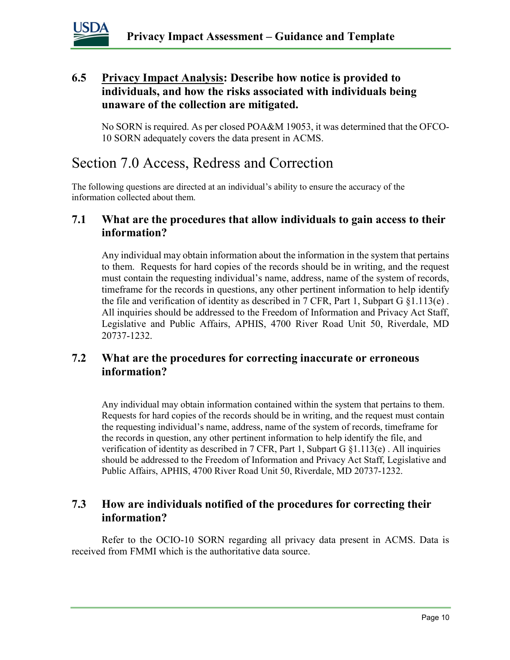

### 6.5 Privacy Impact Analysis: Describe how notice is provided to individuals, and how the risks associated with individuals being unaware of the collection are mitigated.

No SORN is required. As per closed POA&M 19053, it was determined that the OFCO-10 SORN adequately covers the data present in ACMS.

### Section 7.0 Access, Redress and Correction

The following questions are directed at an individual's ability to ensure the accuracy of the information collected about them.

### 7.1 What are the procedures that allow individuals to gain access to their information?

Any individual may obtain information about the information in the system that pertains to them. Requests for hard copies of the records should be in writing, and the request must contain the requesting individual's name, address, name of the system of records, timeframe for the records in questions, any other pertinent information to help identify the file and verification of identity as described in 7 CFR, Part 1, Subpart  $G \$  {1.113(e). All inquiries should be addressed to the Freedom of Information and Privacy Act Staff, Legislative and Public Affairs, APHIS, 4700 River Road Unit 50, Riverdale, MD 20737-1232.

### 7.2 What are the procedures for correcting inaccurate or erroneous information?

Any individual may obtain information contained within the system that pertains to them. Requests for hard copies of the records should be in writing, and the request must contain the requesting individual's name, address, name of the system of records, timeframe for the records in question, any other pertinent information to help identify the file, and verification of identity as described in 7 CFR, Part 1, Subpart G §1.113(e) . All inquiries should be addressed to the Freedom of Information and Privacy Act Staff, Legislative and Public Affairs, APHIS, 4700 River Road Unit 50, Riverdale, MD 20737-1232.

### 7.3 How are individuals notified of the procedures for correcting their information?

Refer to the OCIO-10 SORN regarding all privacy data present in ACMS. Data is received from FMMI which is the authoritative data source.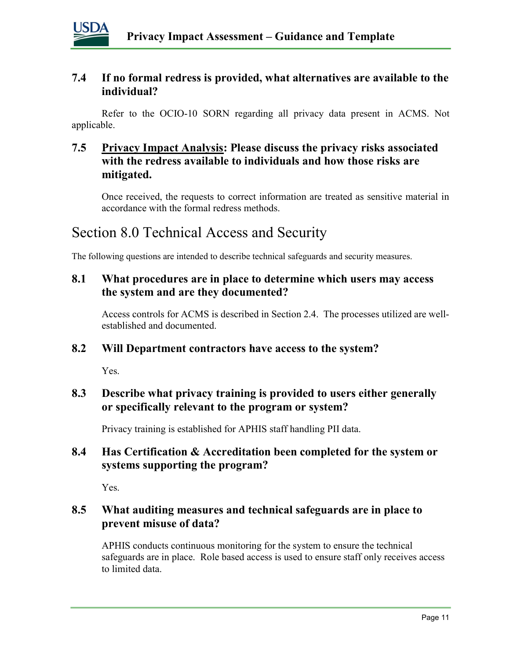

### 7.4 If no formal redress is provided, what alternatives are available to the individual?

Refer to the OCIO-10 SORN regarding all privacy data present in ACMS. Not applicable.

### 7.5 Privacy Impact Analysis: Please discuss the privacy risks associated with the redress available to individuals and how those risks are mitigated.

Once received, the requests to correct information are treated as sensitive material in accordance with the formal redress methods.

### Section 8.0 Technical Access and Security

The following questions are intended to describe technical safeguards and security measures.

### 8.1 What procedures are in place to determine which users may access the system and are they documented?

Access controls for ACMS is described in Section 2.4. The processes utilized are wellestablished and documented.

#### 8.2 Will Department contractors have access to the system?

Yes.

### 8.3 Describe what privacy training is provided to users either generally or specifically relevant to the program or system?

Privacy training is established for APHIS staff handling PII data.

### 8.4 Has Certification & Accreditation been completed for the system or systems supporting the program?

Yes.

### 8.5 What auditing measures and technical safeguards are in place to prevent misuse of data?

APHIS conducts continuous monitoring for the system to ensure the technical safeguards are in place. Role based access is used to ensure staff only receives access to limited data.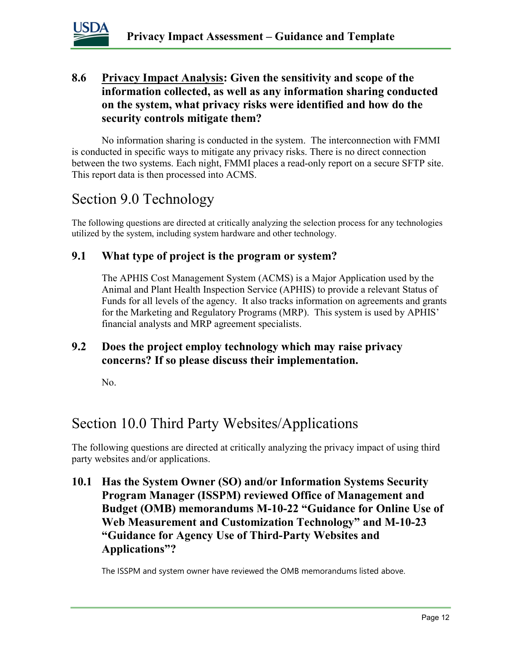

### 8.6 Privacy Impact Analysis: Given the sensitivity and scope of the information collected, as well as any information sharing conducted on the system, what privacy risks were identified and how do the security controls mitigate them?

No information sharing is conducted in the system. The interconnection with FMMI is conducted in specific ways to mitigate any privacy risks. There is no direct connection between the two systems. Each night, FMMI places a read-only report on a secure SFTP site. This report data is then processed into ACMS.

### Section 9.0 Technology

The following questions are directed at critically analyzing the selection process for any technologies utilized by the system, including system hardware and other technology.

### 9.1 What type of project is the program or system?

The APHIS Cost Management System (ACMS) is a Major Application used by the Animal and Plant Health Inspection Service (APHIS) to provide a relevant Status of Funds for all levels of the agency. It also tracks information on agreements and grants for the Marketing and Regulatory Programs (MRP). This system is used by APHIS' financial analysts and MRP agreement specialists.

### 9.2 Does the project employ technology which may raise privacy concerns? If so please discuss their implementation.

No.

### Section 10.0 Third Party Websites/Applications

The following questions are directed at critically analyzing the privacy impact of using third party websites and/or applications.

10.1 Has the System Owner (SO) and/or Information Systems Security Program Manager (ISSPM) reviewed Office of Management and Budget (OMB) memorandums M-10-22 "Guidance for Online Use of Web Measurement and Customization Technology" and M-10-23 "Guidance for Agency Use of Third-Party Websites and Applications"?

The ISSPM and system owner have reviewed the OMB memorandums listed above.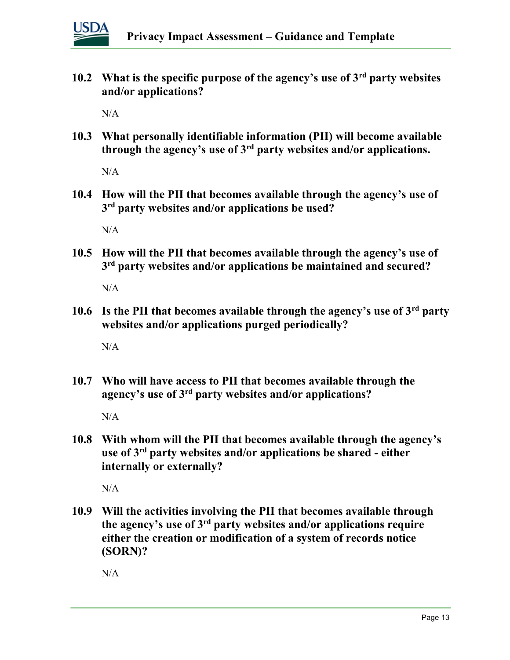

10.2 What is the specific purpose of the agency's use of  $3<sup>rd</sup>$  party websites and/or applications?

N/A

10.3 What personally identifiable information (PII) will become available through the agency's use of  $3<sup>rd</sup>$  party websites and/or applications.

 $N/A$ 

10.4 How will the PII that becomes available through the agency's use of 3<sup>rd</sup> party websites and/or applications be used?

N/A

10.5 How will the PII that becomes available through the agency's use of 3<sup>rd</sup> party websites and/or applications be maintained and secured?

N/A

10.6 Is the PII that becomes available through the agency's use of  $3<sup>rd</sup>$  party websites and/or applications purged periodically?

N/A

10.7 Who will have access to PII that becomes available through the agency's use of 3rd party websites and/or applications?

N/A

10.8 With whom will the PII that becomes available through the agency's use of 3rd party websites and/or applications be shared - either internally or externally?

N/A

10.9 Will the activities involving the PII that becomes available through the agency's use of  $3<sup>rd</sup>$  party websites and/or applications require either the creation or modification of a system of records notice (SORN)?

N/A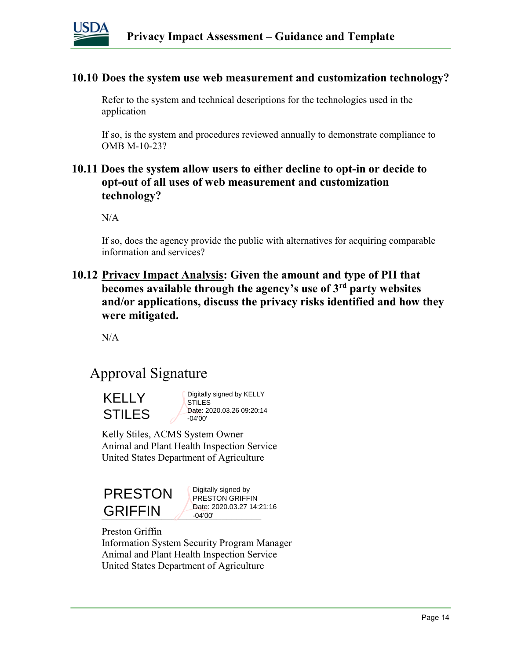

#### 10.10 Does the system use web measurement and customization technology?

Refer to the system and technical descriptions for the technologies used in the application

If so, is the system and procedures reviewed annually to demonstrate compliance to OMB M-10-23?

### 10.11 Does the system allow users to either decline to opt-in or decide to opt-out of all uses of web measurement and customization technology?

N/A

If so, does the agency provide the public with alternatives for acquiring comparable information and services?

10.12 Privacy Impact Analysis: Given the amount and type of PII that becomes available through the agency's use of  $3<sup>rd</sup>$  party websites and/or applications, discuss the privacy risks identified and how they were mitigated.

N/A

### Approval Signature



Kelly Stiles, ACMS System Owner Animal and Plant Health Inspection Service United States Department of Agriculture



 $GRIFFIN$   $\frac{Date: 2020.03.27 \text{ } 14.22}{-04'00'}$ Digitally signed by PRESTON GRIFFIN Date: 2020.03.27 14:21:16 -04'00'

Preston Griffin Information System Security Program Manager Animal and Plant Health Inspection Service United States Department of Agriculture